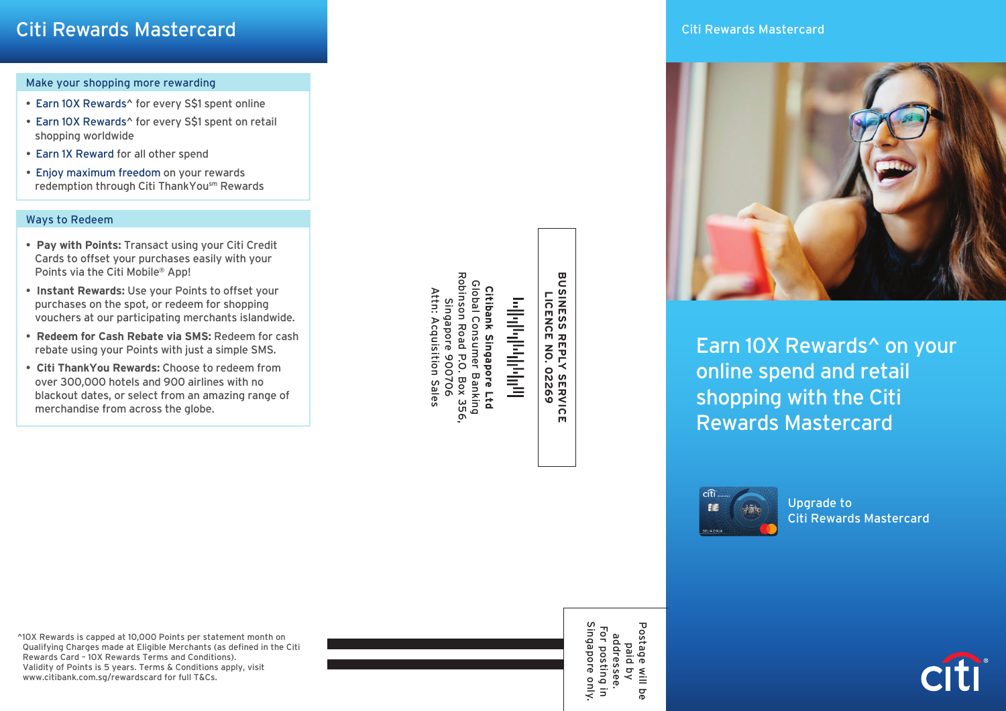## Make your shopping more rewarding

- Earn 10X Rewards^ for every S\$1 spent online
- Earn 10X Rewards^ for every S\$1 spent on retail shopping worldwide
- Earn 1X Reward for all other spend
- Enjoy maximum freedom on your rewards redemption through Citi ThankYousm Rewards

## Ways to Redeem

- • **Pay with Points:** Transact using your Citi Credit Cards to offset your purchases easily with your Points via the Citi Mobile® App!
- • **Instant Rewards:** Use your Points to offset your purchases on the spot, or redeem for shopping vouchers at our participating merchants islandwide.
- • **Redeem for Cash Rebate via SMS:** Redeem for cash rebate using your Points with just a simple SMS.
- • **Citi ThankYou Rewards:** Choose to redeem from over 300,000 hotels and 900 airlines with no blackout dates, or select from an amazing range of merchandise from across the globe.

**Robinson Road** Robinson Road P.O. Box 356, Citibank Singapore Ltd<br>Global Consumer Banking<br>obinson Road P.O. Box 356,<br>Singapore 900706 Global C Global Consumer Banking **Citibank Singapore Ltd** Attn: Acquisition Sales Attn: Acquisition Sales وبالناوباوراورانواتي Singapore 900706

**BUSINESS RI**<br>BUSINESS RI **BUSINESS REPLY SERVICE LICENCE NO. 02269 REPLY SERVICE<br>REPLY SERVICE**  Citi Rewards Mastercard



Earn 10X Rewards^ on your online spend and retail shopping with the Citi Rewards Mastercard



Upgrade to Citi Rewards Mastercard

^10X Rewards is capped at 10,000 Points per statement month on Qualifying Charges made at Eligible Merchants (as defined in the Citi Rewards Card – 10X Rewards Terms and Conditions). Validity of Points is 5 years. Terms & Conditions apply, visit www.citibank.com.sg/rewardscard for full T&Cs.



addressee.<br>For posting i<br>Singapore on Singapore only. Postage Postage will be For posting in addressee. paid by will be only.  $\overline{5}$